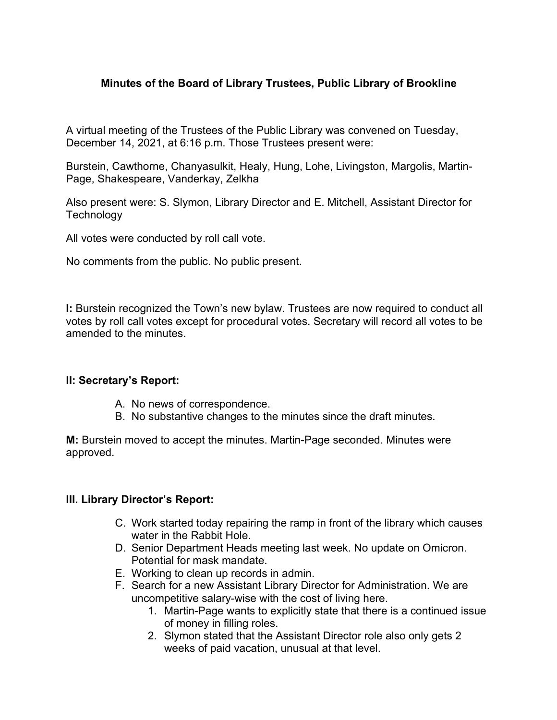# **Minutes of the Board of Library Trustees, Public Library of Brookline**

A virtual meeting of the Trustees of the Public Library was convened on Tuesday, December 14, 2021, at 6:16 p.m. Those Trustees present were:

Burstein, Cawthorne, Chanyasulkit, Healy, Hung, Lohe, Livingston, Margolis, Martin-Page, Shakespeare, Vanderkay, Zelkha

Also present were: S. Slymon, Library Director and E. Mitchell, Assistant Director for **Technology** 

All votes were conducted by roll call vote.

No comments from the public. No public present.

**I:** Burstein recognized the Town's new bylaw. Trustees are now required to conduct all votes by roll call votes except for procedural votes. Secretary will record all votes to be amended to the minutes.

### **II: Secretary's Report:**

- A. No news of correspondence.
- B. No substantive changes to the minutes since the draft minutes.

**M:** Burstein moved to accept the minutes. Martin-Page seconded. Minutes were approved.

### **III. Library Director's Report:**

- C. Work started today repairing the ramp in front of the library which causes water in the Rabbit Hole.
- D. Senior Department Heads meeting last week. No update on Omicron. Potential for mask mandate.
- E. Working to clean up records in admin.
- F. Search for a new Assistant Library Director for Administration. We are uncompetitive salary-wise with the cost of living here.
	- 1. Martin-Page wants to explicitly state that there is a continued issue of money in filling roles.
	- 2. Slymon stated that the Assistant Director role also only gets 2 weeks of paid vacation, unusual at that level.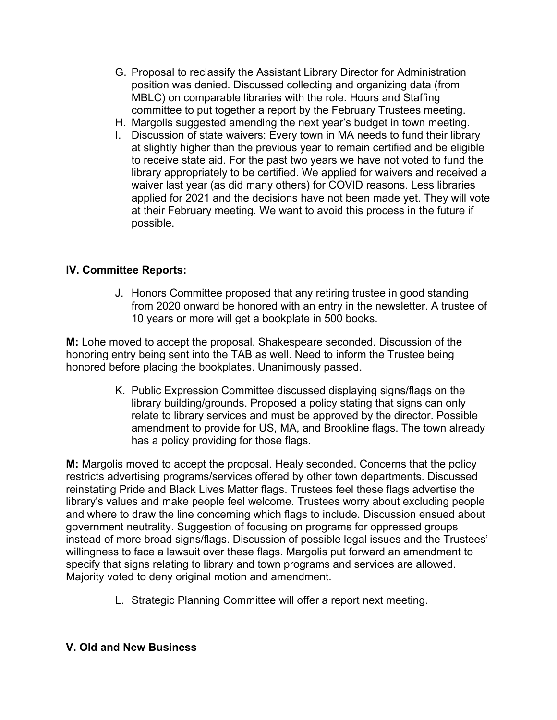- G. Proposal to reclassify the Assistant Library Director for Administration position was denied. Discussed collecting and organizing data (from MBLC) on comparable libraries with the role. Hours and Staffing committee to put together a report by the February Trustees meeting.
- H. Margolis suggested amending the next year's budget in town meeting.
- I. Discussion of state waivers: Every town in MA needs to fund their library at slightly higher than the previous year to remain certified and be eligible to receive state aid. For the past two years we have not voted to fund the library appropriately to be certified. We applied for waivers and received a waiver last year (as did many others) for COVID reasons. Less libraries applied for 2021 and the decisions have not been made yet. They will vote at their February meeting. We want to avoid this process in the future if possible.

# **IV. Committee Reports:**

J. Honors Committee proposed that any retiring trustee in good standing from 2020 onward be honored with an entry in the newsletter. A trustee of 10 years or more will get a bookplate in 500 books.

**M:** Lohe moved to accept the proposal. Shakespeare seconded. Discussion of the honoring entry being sent into the TAB as well. Need to inform the Trustee being honored before placing the bookplates. Unanimously passed.

> K. Public Expression Committee discussed displaying signs/flags on the library building/grounds. Proposed a policy stating that signs can only relate to library services and must be approved by the director. Possible amendment to provide for US, MA, and Brookline flags. The town already has a policy providing for those flags.

**M:** Margolis moved to accept the proposal. Healy seconded. Concerns that the policy restricts advertising programs/services offered by other town departments. Discussed reinstating Pride and Black Lives Matter flags. Trustees feel these flags advertise the library's values and make people feel welcome. Trustees worry about excluding people and where to draw the line concerning which flags to include. Discussion ensued about government neutrality. Suggestion of focusing on programs for oppressed groups instead of more broad signs/flags. Discussion of possible legal issues and the Trustees' willingness to face a lawsuit over these flags. Margolis put forward an amendment to specify that signs relating to library and town programs and services are allowed. Majority voted to deny original motion and amendment.

L. Strategic Planning Committee will offer a report next meeting.